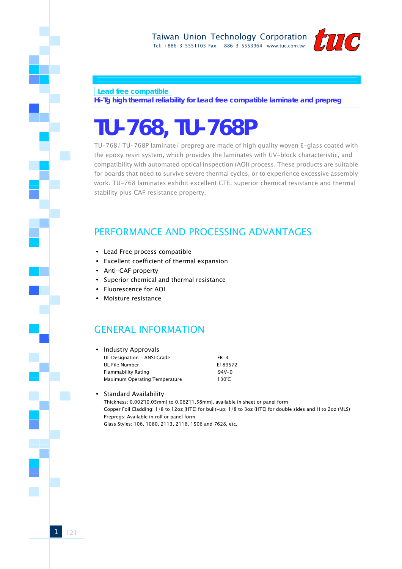

 **Lead free compatible** 

**Hi-Tg high thermal reliability for Lead free compatible laminate and prepreg**

# **TU-768, TU-768P**

TU-768/ TU-768P laminate/ prepreg are made of high quality woven E-glass coated with the epoxy resin system, which provides the laminates with UV-block characteristic, and compatibility with automated optical inspection (AOI) process. These products are suitable for boards that need to survive severe thermal cycles, or to experience excessive assembly work. TU-768 laminates exhibit excellent CTE, superior chemical resistance and thermal stability plus CAF resistance property.

### PERFORMANCE AND PROCESSING ADVANTAGES

- Lead Free process compatible
- Excellent coefficient of thermal expansion
- Anti-CAF property
- Superior chemical and thermal resistance
- y Fluorescence for AOI
- Moisture resistance

### GENERAL INFORMATION

| • Industry Approvals          |           |
|-------------------------------|-----------|
| UL Designation - ANSI Grade   | $FR-4$    |
| UL File Number                | E189572   |
| Flammability Rating           | $94V - 0$ |
| Maximum Operating Temperature | 130°C     |

#### Standard Availability

Thickness: 0.002"[0.05mm] to 0.062"[1.58mm], available in sheet or panel form Copper Foil Cladding: 1/8 to 12oz (HTE) for built-up; 1/8 to 3oz (HTE) for double sides and H to 2oz (MLS) Prepregs: Available in roll or panel form Glass Styles: 106, 1080, 2113, 2116, 1506 and 7628, etc.